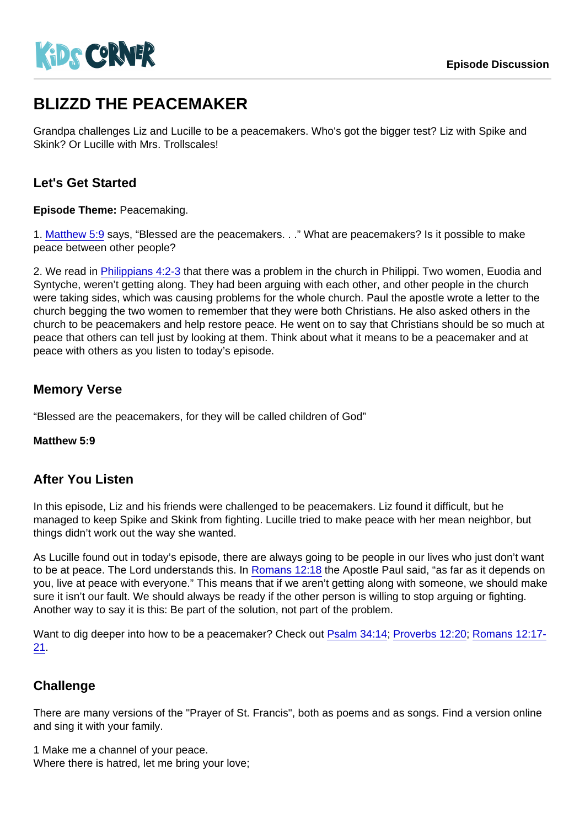# BLIZZD THE PEACEMAKER

Grandpa challenges Liz and Lucille to be a peacemakers. Who's got the bigger test? Liz with Spike and Skink? Or Lucille with Mrs. Trollscales!

# Let's Get Started

Episode Theme: Peacemaking.

1. [Matthew 5:9](https://www.biblegateway.com/passage/?search=Matthew+5:9) says, "Blessed are the peacemakers. . ." What are peacemakers? Is it possible to make peace between other people?

2. We read in [Philippians 4:2-3](https://www.biblegateway.com/passage/?search=Philippians+4:2-3) that there was a problem in the church in Philippi. Two women, Euodia and Syntyche, weren't getting along. They had been arguing with each other, and other people in the church were taking sides, which was causing problems for the whole church. Paul the apostle wrote a letter to the church begging the two women to remember that they were both Christians. He also asked others in the church to be peacemakers and help restore peace. He went on to say that Christians should be so much at peace that others can tell just by looking at them. Think about what it means to be a peacemaker and at peace with others as you listen to today's episode.

# Memory Verse

"Blessed are the peacemakers, for they will be called children of God"

Matthew 5:9

### After You Listen

In this episode, Liz and his friends were challenged to be peacemakers. Liz found it difficult, but he managed to keep Spike and Skink from fighting. Lucille tried to make peace with her mean neighbor, but things didn't work out the way she wanted.

As Lucille found out in today's episode, there are always going to be people in our lives who just don't want to be at peace. The Lord understands this. In [Romans 12:18](https://www.biblegateway.com/passage/?search=Romans+12:18) the Apostle Paul said, "as far as it depends on you, live at peace with everyone." This means that if we aren't getting along with someone, we should make sure it isn't our fault. We should always be ready if the other person is willing to stop arguing or fighting. Another way to say it is this: Be part of the solution, not part of the problem.

Want to dig deeper into how to be a peacemaker? Check out [Psalm 34:14](https://www.biblegateway.com/passage/?search=Psalm+34:14); [Proverbs 12:20;](https://www.biblegateway.com/passage/?search=Proverbs+12:20) [Romans 12:17-](https://www.biblegateway.com/passage/?search=Romans+12:17-21) [21](https://www.biblegateway.com/passage/?search=Romans+12:17-21).

### **Challenge**

There are many versions of the "Prayer of St. Francis", both as poems and as songs. Find a version online and sing it with your family.

1 Make me a channel of your peace. Where there is hatred, let me bring your love;